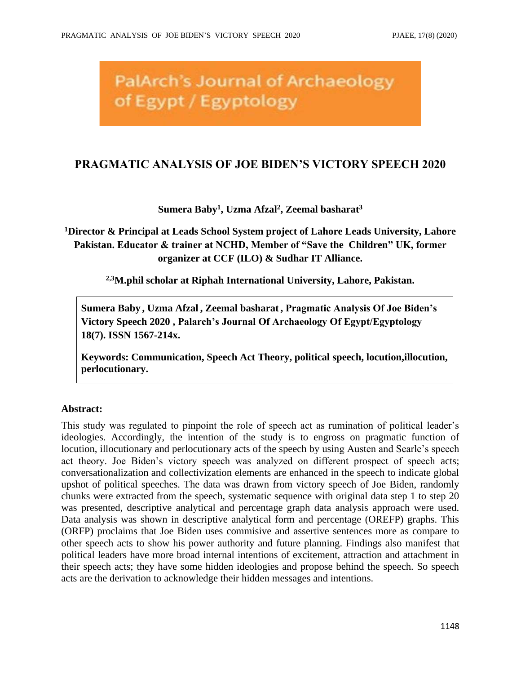# **PalArch's Journal of Archaeology** of Egypt / Egyptology

## **PRAGMATIC ANALYSIS OF JOE BIDEN'S VICTORY SPEECH 2020**

#### **Sumera Baby<sup>1</sup> , Uzma Afzal<sup>2</sup> , Zeemal basharat<sup>3</sup>**

**<sup>1</sup>Director & Principal at Leads School System project of Lahore Leads University, Lahore Pakistan. Educator & trainer at NCHD, Member of "Save the Children" UK, former organizer at CCF (ILO) & Sudhar IT Alliance.**

**2,3M.phil scholar at Riphah International University, Lahore, Pakistan.**

**Sumera Baby , Uzma Afzal , Zeemal basharat , Pragmatic Analysis Of Joe Biden's Victory Speech 2020 , Palarch's Journal Of Archaeology Of Egypt/Egyptology 18(7). ISSN 1567-214x.**

**Keywords: Communication, Speech Act Theory, political speech, locution,illocution, perlocutionary.**

#### **Abstract:**

This study was regulated to pinpoint the role of speech act as rumination of political leader's ideologies. Accordingly, the intention of the study is to engross on pragmatic function of locution, illocutionary and perlocutionary acts of the speech by using Austen and Searle's speech act theory. Joe Biden's victory speech was analyzed on different prospect of speech acts; conversationalization and collectivization elements are enhanced in the speech to indicate global upshot of political speeches. The data was drawn from victory speech of Joe Biden, randomly chunks were extracted from the speech, systematic sequence with original data step 1 to step 20 was presented, descriptive analytical and percentage graph data analysis approach were used. Data analysis was shown in descriptive analytical form and percentage (OREFP) graphs. This (ORFP) proclaims that Joe Biden uses commisive and assertive sentences more as compare to other speech acts to show his power authority and future planning. Findings also manifest that political leaders have more broad internal intentions of excitement, attraction and attachment in their speech acts; they have some hidden ideologies and propose behind the speech. So speech acts are the derivation to acknowledge their hidden messages and intentions.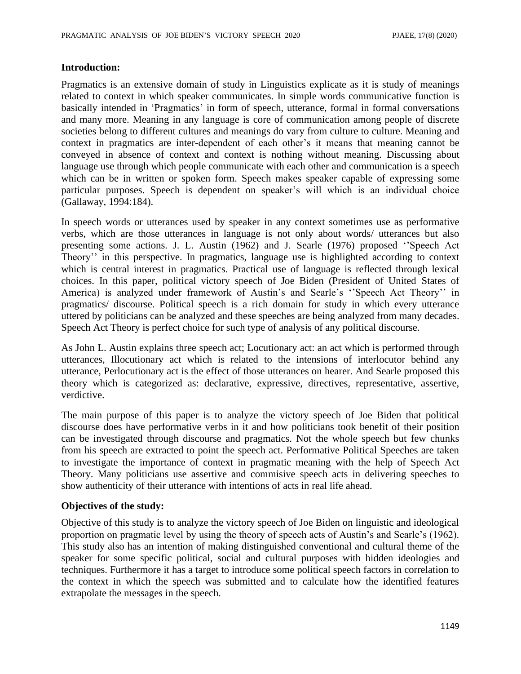#### **Introduction:**

Pragmatics is an extensive domain of study in Linguistics explicate as it is study of meanings related to context in which speaker communicates. In simple words communicative function is basically intended in 'Pragmatics' in form of speech, utterance, formal in formal conversations and many more. Meaning in any language is core of communication among people of discrete societies belong to different cultures and meanings do vary from culture to culture. Meaning and context in pragmatics are inter-dependent of each other's it means that meaning cannot be conveyed in absence of context and context is nothing without meaning. Discussing about language use through which people communicate with each other and communication is a speech which can be in written or spoken form. Speech makes speaker capable of expressing some particular purposes. Speech is dependent on speaker's will which is an individual choice (Gallaway, 1994:184).

In speech words or utterances used by speaker in any context sometimes use as performative verbs, which are those utterances in language is not only about words/ utterances but also presenting some actions. J. L. Austin (1962) and J. Searle (1976) proposed ''Speech Act Theory'' in this perspective. In pragmatics, language use is highlighted according to context which is central interest in pragmatics. Practical use of language is reflected through lexical choices. In this paper, political victory speech of Joe Biden (President of United States of America) is analyzed under framework of Austin's and Searle's ''Speech Act Theory'' in pragmatics/ discourse. Political speech is a rich domain for study in which every utterance uttered by politicians can be analyzed and these speeches are being analyzed from many decades. Speech Act Theory is perfect choice for such type of analysis of any political discourse.

As John L. Austin explains three speech act; Locutionary act: an act which is performed through utterances, Illocutionary act which is related to the intensions of interlocutor behind any utterance, Perlocutionary act is the effect of those utterances on hearer. And Searle proposed this theory which is categorized as: declarative, expressive, directives, representative, assertive, verdictive.

The main purpose of this paper is to analyze the victory speech of Joe Biden that political discourse does have performative verbs in it and how politicians took benefit of their position can be investigated through discourse and pragmatics. Not the whole speech but few chunks from his speech are extracted to point the speech act. Performative Political Speeches are taken to investigate the importance of context in pragmatic meaning with the help of Speech Act Theory. Many politicians use assertive and commisive speech acts in delivering speeches to show authenticity of their utterance with intentions of acts in real life ahead.

#### **Objectives of the study:**

Objective of this study is to analyze the victory speech of Joe Biden on linguistic and ideological proportion on pragmatic level by using the theory of speech acts of Austin's and Searle's (1962). This study also has an intention of making distinguished conventional and cultural theme of the speaker for some specific political, social and cultural purposes with hidden ideologies and techniques. Furthermore it has a target to introduce some political speech factors in correlation to the context in which the speech was submitted and to calculate how the identified features extrapolate the messages in the speech.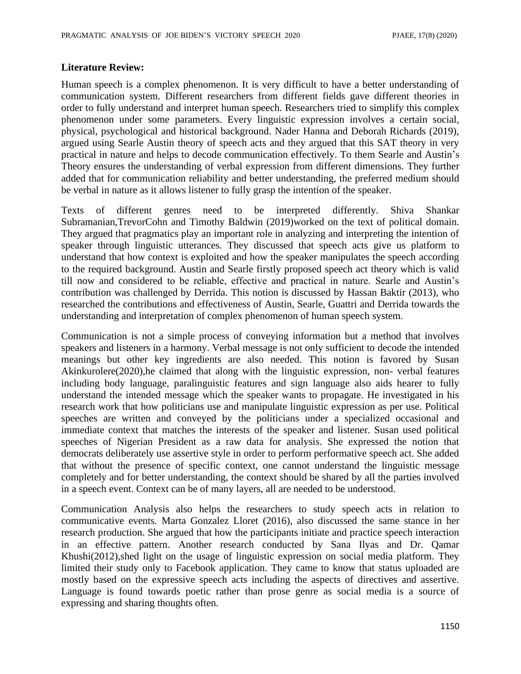#### **Literature Review:**

Human speech is a complex phenomenon. It is very difficult to have a better understanding of communication system. Different researchers from different fields gave different theories in order to fully understand and interpret human speech. Researchers tried to simplify this complex phenomenon under some parameters. Every linguistic expression involves a certain social, physical, psychological and historical background. Nader Hanna and Deborah Richards (2019), argued using Searle Austin theory of speech acts and they argued that this SAT theory in very practical in nature and helps to decode communication effectively. To them Searle and Austin's Theory ensures the understanding of verbal expression from different dimensions. They further added that for communication reliability and better understanding, the preferred medium should be verbal in nature as it allows listener to fully grasp the intention of the speaker.

Texts of different genres need to be interpreted differently. Shiva Shankar Subramanian,TrevorCohn and Timothy Baldwin (2019)worked on the text of political domain. They argued that pragmatics play an important role in analyzing and interpreting the intention of speaker through linguistic utterances. They discussed that speech acts give us platform to understand that how context is exploited and how the speaker manipulates the speech according to the required background. Austin and Searle firstly proposed speech act theory which is valid till now and considered to be reliable, effective and practical in nature. Searle and Austin's contribution was challenged by Derrida. This notion is discussed by Hassan Baktir (2013), who researched the contributions and effectiveness of Austin, Searle, Guattri and Derrida towards the understanding and interpretation of complex phenomenon of human speech system.

Communication is not a simple process of conveying information but a method that involves speakers and listeners in a harmony. Verbal message is not only sufficient to decode the intended meanings but other key ingredients are also needed. This notion is favored by Susan Akinkurolere(2020),he claimed that along with the linguistic expression, non- verbal features including body language, paralinguistic features and sign language also aids hearer to fully understand the intended message which the speaker wants to propagate. He investigated in his research work that how politicians use and manipulate linguistic expression as per use. Political speeches are written and conveyed by the politicians under a specialized occasional and immediate context that matches the interests of the speaker and listener. Susan used political speeches of Nigerian President as a raw data for analysis. She expressed the notion that democrats deliberately use assertive style in order to perform performative speech act. She added that without the presence of specific context, one cannot understand the linguistic message completely and for better understanding, the context should be shared by all the parties involved in a speech event. Context can be of many layers, all are needed to be understood.

Communication Analysis also helps the researchers to study speech acts in relation to communicative events. Marta Gonzalez Lloret (2016), also discussed the same stance in her research production. She argued that how the participants initiate and practice speech interaction in an effective pattern. Another research conducted by Sana Ilyas and Dr. Qamar Khushi(2012), shed light on the usage of linguistic expression on social media platform. They limited their study only to Facebook application. They came to know that status uploaded are mostly based on the expressive speech acts including the aspects of directives and assertive. Language is found towards poetic rather than prose genre as social media is a source of expressing and sharing thoughts often.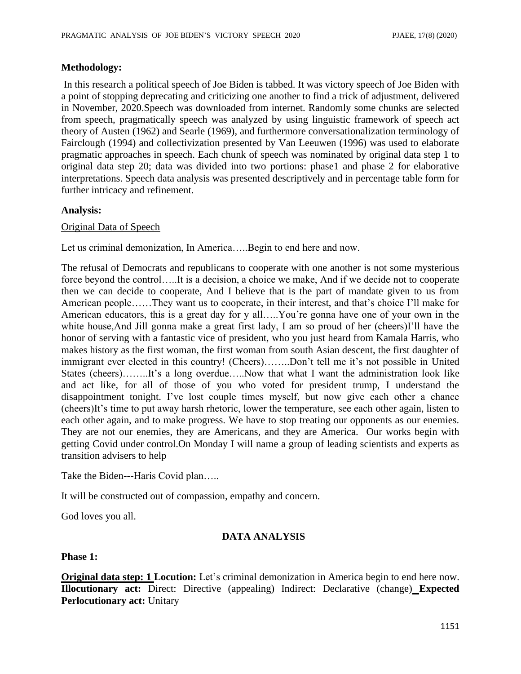#### **Methodology:**

In this research a political speech of Joe Biden is tabbed. It was victory speech of Joe Biden with a point of stopping deprecating and criticizing one another to find a trick of adjustment, delivered in November, 2020.Speech was downloaded from internet. Randomly some chunks are selected from speech, pragmatically speech was analyzed by using linguistic framework of speech act theory of Austen (1962) and Searle (1969), and furthermore conversationalization terminology of Fairclough (1994) and collectivization presented by Van Leeuwen (1996) was used to elaborate pragmatic approaches in speech. Each chunk of speech was nominated by original data step 1 to original data step 20; data was divided into two portions: phase1 and phase 2 for elaborative interpretations. Speech data analysis was presented descriptively and in percentage table form for further intricacy and refinement.

#### **Analysis:**

#### Original Data of Speech

Let us criminal demonization, In America…..Begin to end here and now.

The refusal of Democrats and republicans to cooperate with one another is not some mysterious force beyond the control…..It is a decision, a choice we make, And if we decide not to cooperate then we can decide to cooperate, And I believe that is the part of mandate given to us from American people……They want us to cooperate, in their interest, and that's choice I'll make for American educators, this is a great day for y all…..You're gonna have one of your own in the white house, And Jill gonna make a great first lady, I am so proud of her (cheers)I'll have the honor of serving with a fantastic vice of president, who you just heard from Kamala Harris, who makes history as the first woman, the first woman from south Asian descent, the first daughter of immigrant ever elected in this country! (Cheers)……..Don't tell me it's not possible in United States (cheers)……..It's a long overdue…..Now that what I want the administration look like and act like, for all of those of you who voted for president trump, I understand the disappointment tonight. I've lost couple times myself, but now give each other a chance (cheers)It's time to put away harsh rhetoric, lower the temperature, see each other again, listen to each other again, and to make progress. We have to stop treating our opponents as our enemies. They are not our enemies, they are Americans, and they are America. Our works begin with getting Covid under control.On Monday I will name a group of leading scientists and experts as transition advisers to help

Take the Biden---Haris Covid plan.....

It will be constructed out of compassion, empathy and concern.

God loves you all.

#### **DATA ANALYSIS**

**Phase 1:**

**Original data step: 1 Locution:** Let's criminal demonization in America begin to end here now. **Illocutionary act:** Direct: Directive (appealing) Indirect: Declarative (change) **Expected Perlocutionary act:** Unitary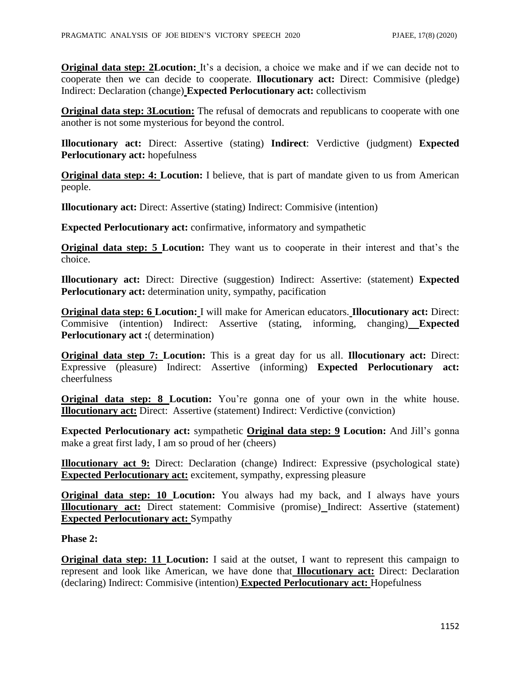**Original data step: 2Locution:** It's a decision, a choice we make and if we can decide not to cooperate then we can decide to cooperate. **Illocutionary act:** Direct: Commisive (pledge) Indirect: Declaration (change) **Expected Perlocutionary act:** collectivism

**Original data step: 3Locution:** The refusal of democrats and republicans to cooperate with one another is not some mysterious for beyond the control.

**Illocutionary act:** Direct: Assertive (stating) **Indirect**: Verdictive (judgment) **Expected Perlocutionary act:** hopefulness

**Original data step: 4: Locution:** I believe, that is part of mandate given to us from American people.

**Illocutionary act:** Direct: Assertive (stating) Indirect: Commisive (intention)

**Expected Perlocutionary act:** confirmative, informatory and sympathetic

**Original data step: 5 Locution:** They want us to cooperate in their interest and that's the choice.

**Illocutionary act:** Direct: Directive (suggestion) Indirect: Assertive: (statement) **Expected Perlocutionary act:** determination unity, sympathy, pacification

**Original data step: 6 Locution:** I will make for American educators. **Illocutionary act:** Direct: Commisive (intention) Indirect: Assertive (stating, informing, changing) **Expected Perlocutionary act :**( determination)

**Original data step 7: Locution:** This is a great day for us all. **Illocutionary act:** Direct: Expressive (pleasure) Indirect: Assertive (informing) **Expected Perlocutionary act:**  cheerfulness

**Original data step: 8 Locution:** You're gonna one of your own in the white house. **Illocutionary act:** Direct: Assertive (statement) Indirect: Verdictive (conviction)

**Expected Perlocutionary act:** sympathetic **Original data step: 9 Locution:** And Jill's gonna make a great first lady, I am so proud of her (cheers)

**Illocutionary act 9:** Direct: Declaration (change) Indirect: Expressive (psychological state) **Expected Perlocutionary act:** excitement, sympathy, expressing pleasure

**Original data step: 10 Locution:** You always had my back, and I always have yours **Illocutionary act:** Direct statement: Commisive (promise) Indirect: Assertive (statement) **Expected Perlocutionary act:** Sympathy

**Phase 2:**

**Original data step: 11 Locution:** I said at the outset, I want to represent this campaign to represent and look like American, we have done that **Illocutionary act:** Direct: Declaration (declaring) Indirect: Commisive (intention) **Expected Perlocutionary act:** Hopefulness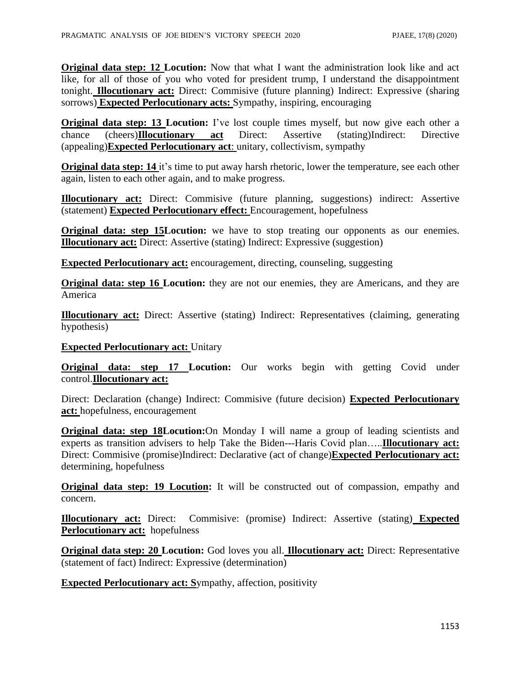**Original data step: 12 Locution:** Now that what I want the administration look like and act like, for all of those of you who voted for president trump, I understand the disappointment tonight. **Illocutionary act:** Direct: Commisive (future planning) Indirect: Expressive (sharing sorrows) **Expected Perlocutionary acts:** Sympathy, inspiring, encouraging

**Original data step: 13 Locution:** I've lost couple times myself, but now give each other a chance (cheers)**Illocutionary act** Direct: Assertive (stating)Indirect: Directive (appealing)**Expected Perlocutionary act**: unitary, collectivism, sympathy

**Original data step: 14** it's time to put away harsh rhetoric, lower the temperature, see each other again, listen to each other again, and to make progress.

**Illocutionary act:** Direct: Commisive (future planning, suggestions) indirect: Assertive (statement) **Expected Perlocutionary effect:** Encouragement, hopefulness

**Original data: step 15Locution:** we have to stop treating our opponents as our enemies. **Illocutionary act:** Direct: Assertive (stating) Indirect: Expressive (suggestion)

**Expected Perlocutionary act:** encouragement, directing, counseling, suggesting

**Original data: step 16 Locution:** they are not our enemies, they are Americans, and they are America

**Illocutionary act:** Direct: Assertive (stating) Indirect: Representatives (claiming, generating hypothesis)

#### **Expected Perlocutionary act:** Unitary

**Original data: step 17 Locution:** Our works begin with getting Covid under control.**Illocutionary act:**

Direct: Declaration (change) Indirect: Commisive (future decision) **Expected Perlocutionary act:** hopefulness, encouragement

**Original data: step 18Locution:**On Monday I will name a group of leading scientists and experts as transition advisers to help Take the Biden---Haris Covid plan…..**Illocutionary act:** Direct: Commisive (promise)Indirect: Declarative (act of change)**Expected Perlocutionary act:** determining, hopefulness

**Original data step: 19 Locution:** It will be constructed out of compassion, empathy and concern.

**Illocutionary act:** Direct: Commisive: (promise) Indirect: Assertive (stating) **Expected Perlocutionary act:** hopefulness

**Original data step: 20 Locution:** God loves you all. **Illocutionary act:** Direct: Representative (statement of fact) Indirect: Expressive (determination)

**Expected Perlocutionary act: S**ympathy, affection, positivity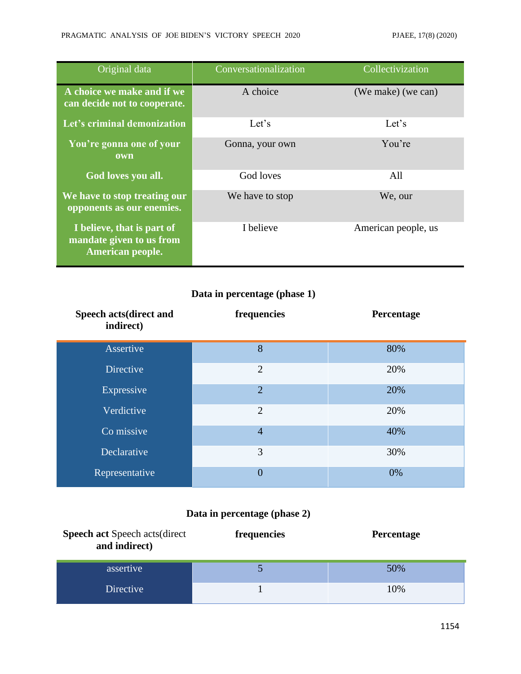| Original data                                                              | Conversationalization | Collectivization    |
|----------------------------------------------------------------------------|-----------------------|---------------------|
| A choice we make and if we<br>can decide not to cooperate.                 | A choice              | (We make) (we can)  |
| Let's criminal demonization                                                | Let's                 | Let's               |
| You're gonna one of your<br>own                                            | Gonna, your own       | You're              |
| <b>God</b> loves you all.                                                  | God loves             | All                 |
| We have to stop treating our<br>opponents as our enemies.                  | We have to stop       | We, our             |
| I believe, that is part of<br>mandate given to us from<br>American people. | I believe             | American people, us |

### **Data in percentage (phase 1)**

| Speech acts(direct and<br>indirect) | frequencies    | Percentage |
|-------------------------------------|----------------|------------|
| Assertive                           | 8              | 80%        |
| <b>Directive</b>                    | $\overline{2}$ | 20%        |
| Expressive                          | $\overline{2}$ | 20%        |
| Verdictive                          | $\overline{2}$ | 20%        |
| Co missive                          | $\overline{4}$ | 40%        |
| Declarative                         | 3              | 30%        |
| Representative                      | $\overline{0}$ | 0%         |

## **Data in percentage (phase 2)**

| <b>Speech act Speech acts (direct</b><br>and indirect) | frequencies | <b>Percentage</b> |
|--------------------------------------------------------|-------------|-------------------|
| assertive                                              |             | 50%               |
| <b>Directive</b>                                       |             | 10%               |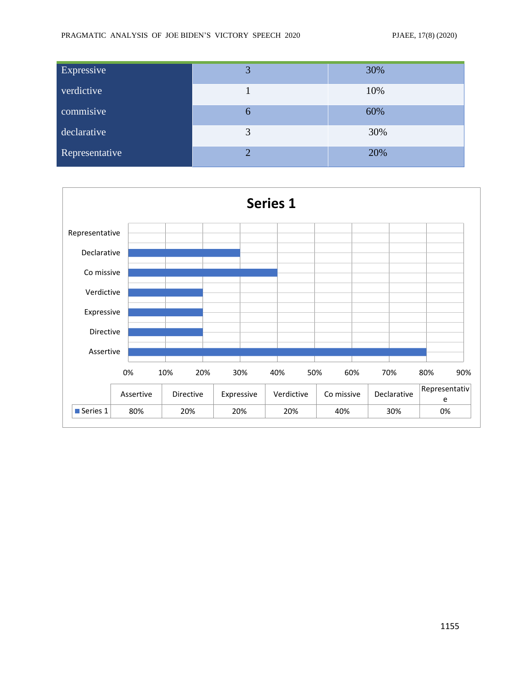| Expressive     | 3 | 30% |
|----------------|---|-----|
| verdictive     |   | 10% |
| commisive      | 6 | 60% |
| declarative    | 3 | 30% |
| Representative | ◠ | 20% |

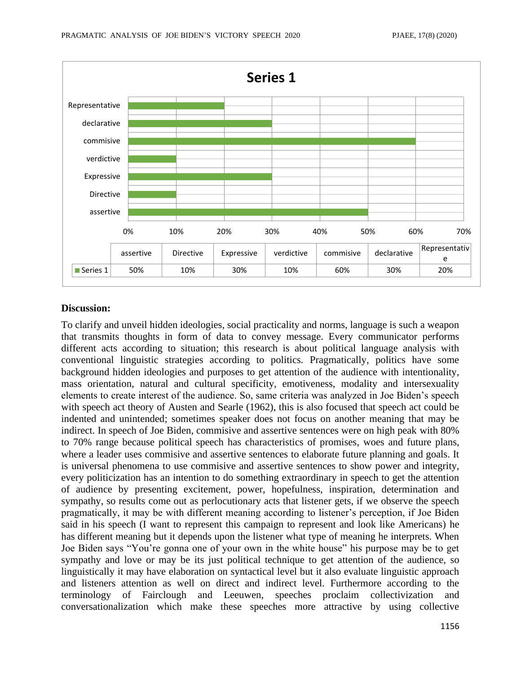

#### **Discussion:**

To clarify and unveil hidden ideologies, social practicality and norms, language is such a weapon that transmits thoughts in form of data to convey message. Every communicator performs different acts according to situation; this research is about political language analysis with conventional linguistic strategies according to politics. Pragmatically, politics have some background hidden ideologies and purposes to get attention of the audience with intentionality, mass orientation, natural and cultural specificity, emotiveness, modality and intersexuality elements to create interest of the audience. So, same criteria was analyzed in Joe Biden's speech with speech act theory of Austen and Searle (1962), this is also focused that speech act could be indented and unintended; sometimes speaker does not focus on another meaning that may be indirect. In speech of Joe Biden, commisive and assertive sentences were on high peak with 80% to 70% range because political speech has characteristics of promises, woes and future plans, where a leader uses commisive and assertive sentences to elaborate future planning and goals. It is universal phenomena to use commisive and assertive sentences to show power and integrity, every politicization has an intention to do something extraordinary in speech to get the attention of audience by presenting excitement, power, hopefulness, inspiration, determination and sympathy, so results come out as perlocutionary acts that listener gets, if we observe the speech pragmatically, it may be with different meaning according to listener's perception, if Joe Biden said in his speech (I want to represent this campaign to represent and look like Americans) he has different meaning but it depends upon the listener what type of meaning he interprets. When Joe Biden says "You're gonna one of your own in the white house" his purpose may be to get sympathy and love or may be its just political technique to get attention of the audience, so linguistically it may have elaboration on syntactical level but it also evaluate linguistic approach and listeners attention as well on direct and indirect level. Furthermore according to the terminology of Fairclough and Leeuwen, speeches proclaim collectivization and conversationalization which make these speeches more attractive by using collective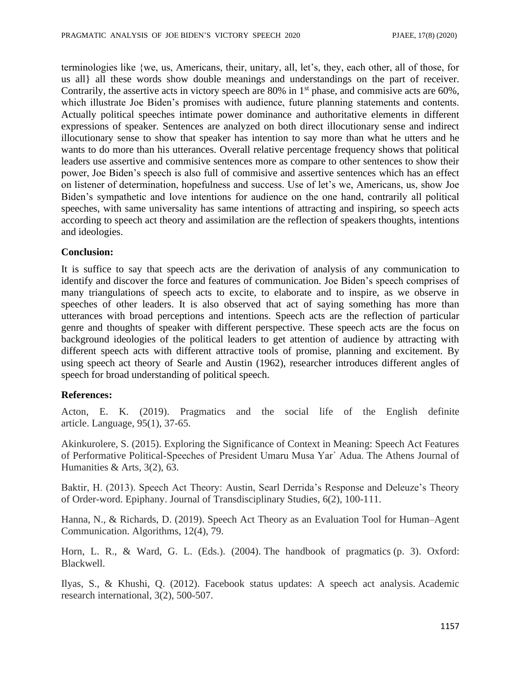terminologies like {we, us, Americans, their, unitary, all, let's, they, each other, all of those, for us all} all these words show double meanings and understandings on the part of receiver. Contrarily, the assertive acts in victory speech are 80% in  $1<sup>st</sup>$  phase, and commisive acts are 60%, which illustrate Joe Biden's promises with audience, future planning statements and contents. Actually political speeches intimate power dominance and authoritative elements in different expressions of speaker. Sentences are analyzed on both direct illocutionary sense and indirect illocutionary sense to show that speaker has intention to say more than what he utters and he wants to do more than his utterances. Overall relative percentage frequency shows that political leaders use assertive and commisive sentences more as compare to other sentences to show their power, Joe Biden's speech is also full of commisive and assertive sentences which has an effect on listener of determination, hopefulness and success. Use of let's we, Americans, us, show Joe Biden's sympathetic and love intentions for audience on the one hand, contrarily all political speeches, with same universality has same intentions of attracting and inspiring, so speech acts according to speech act theory and assimilation are the reflection of speakers thoughts, intentions and ideologies.

#### **Conclusion:**

It is suffice to say that speech acts are the derivation of analysis of any communication to identify and discover the force and features of communication. Joe Biden's speech comprises of many triangulations of speech acts to excite, to elaborate and to inspire, as we observe in speeches of other leaders. It is also observed that act of saying something has more than utterances with broad perceptions and intentions. Speech acts are the reflection of particular genre and thoughts of speaker with different perspective. These speech acts are the focus on background ideologies of the political leaders to get attention of audience by attracting with different speech acts with different attractive tools of promise, planning and excitement. By using speech act theory of Searle and Austin (1962), researcher introduces different angles of speech for broad understanding of political speech.

#### **References:**

Acton, E. K. (2019). Pragmatics and the social life of the English definite article. Language, 95(1), 37-65.

Akinkurolere, S. (2015). Exploring the Significance of Context in Meaning: Speech Act Features of Performative Political-Speeches of President Umaru Musa Yar᾽ Adua. The Athens Journal of Humanities & Arts, 3(2), 63.

Baktir, H. (2013). Speech Act Theory: Austin, Searl Derrida's Response and Deleuze's Theory of Order-word. Epiphany. Journal of Transdisciplinary Studies, 6(2), 100-111.

Hanna, N., & Richards, D. (2019). Speech Act Theory as an Evaluation Tool for Human–Agent Communication. Algorithms, 12(4), 79.

Horn, L. R., & Ward, G. L. (Eds.). (2004). The handbook of pragmatics (p. 3). Oxford: Blackwell.

Ilyas, S., & Khushi, Q. (2012). Facebook status updates: A speech act analysis. Academic research international, 3(2), 500-507.